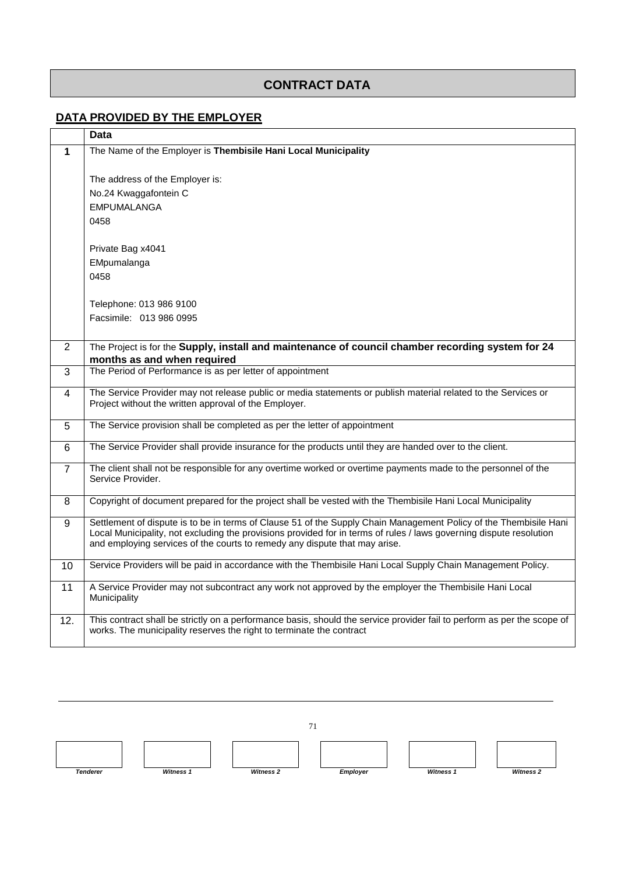## **CONTRACT DATA**

## **DATA PROVIDED BY THE EMPLOYER**

|                | <b>Data</b>                                                                                                                                                                                                                                                                                                            |
|----------------|------------------------------------------------------------------------------------------------------------------------------------------------------------------------------------------------------------------------------------------------------------------------------------------------------------------------|
| $\mathbf 1$    | The Name of the Employer is Thembisile Hani Local Municipality                                                                                                                                                                                                                                                         |
|                | The address of the Employer is:<br>No.24 Kwaggafontein C                                                                                                                                                                                                                                                               |
|                | <b>EMPUMALANGA</b>                                                                                                                                                                                                                                                                                                     |
|                | 0458                                                                                                                                                                                                                                                                                                                   |
|                | Private Bag x4041                                                                                                                                                                                                                                                                                                      |
|                | EMpumalanga                                                                                                                                                                                                                                                                                                            |
|                | 0458                                                                                                                                                                                                                                                                                                                   |
|                | Telephone: 013 986 9100                                                                                                                                                                                                                                                                                                |
|                | Facsimile: 013 986 0995                                                                                                                                                                                                                                                                                                |
|                |                                                                                                                                                                                                                                                                                                                        |
| $\overline{2}$ | The Project is for the Supply, install and maintenance of council chamber recording system for 24<br>months as and when required                                                                                                                                                                                       |
| $\overline{3}$ | The Period of Performance is as per letter of appointment                                                                                                                                                                                                                                                              |
| 4              | The Service Provider may not release public or media statements or publish material related to the Services or<br>Project without the written approval of the Employer.                                                                                                                                                |
| 5              | The Service provision shall be completed as per the letter of appointment                                                                                                                                                                                                                                              |
| 6              | The Service Provider shall provide insurance for the products until they are handed over to the client.                                                                                                                                                                                                                |
| $\overline{7}$ | The client shall not be responsible for any overtime worked or overtime payments made to the personnel of the<br>Service Provider.                                                                                                                                                                                     |
| 8              | Copyright of document prepared for the project shall be vested with the Thembisile Hani Local Municipality                                                                                                                                                                                                             |
| 9              | Settlement of dispute is to be in terms of Clause 51 of the Supply Chain Management Policy of the Thembisile Hani<br>Local Municipality, not excluding the provisions provided for in terms of rules / laws governing dispute resolution<br>and employing services of the courts to remedy any dispute that may arise. |
| 10             | Service Providers will be paid in accordance with the Thembisile Hani Local Supply Chain Management Policy.                                                                                                                                                                                                            |
| 11             | A Service Provider may not subcontract any work not approved by the employer the Thembisile Hani Local<br>Municipality                                                                                                                                                                                                 |
| 12.            | This contract shall be strictly on a performance basis, should the service provider fail to perform as per the scope of<br>works. The municipality reserves the right to terminate the contract                                                                                                                        |

71